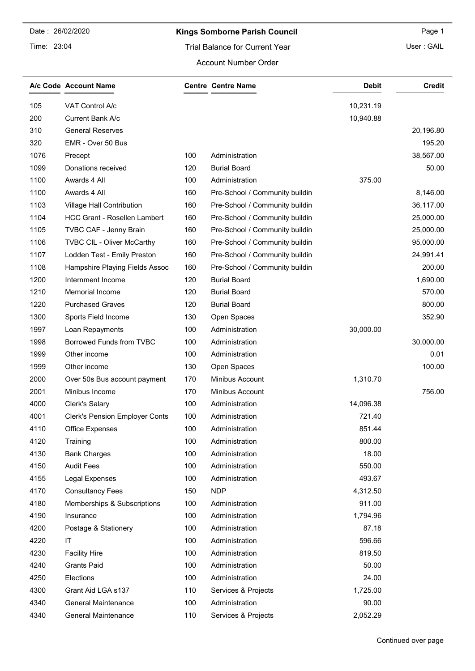#### Time: 23:04

## Kings Somborne Parish Council **Example 2018** Page 1

User : GAIL

#### Account Number Order

|      | A/c Code Account Name                 |     | <b>Centre Centre Name</b>      | <b>Debit</b> | <b>Credit</b> |
|------|---------------------------------------|-----|--------------------------------|--------------|---------------|
| 105  | VAT Control A/c                       |     |                                | 10,231.19    |               |
| 200  | Current Bank A/c                      |     |                                | 10,940.88    |               |
| 310  | <b>General Reserves</b>               |     |                                |              | 20,196.80     |
| 320  | EMR - Over 50 Bus                     |     |                                |              | 195.20        |
| 1076 | Precept                               | 100 | Administration                 |              | 38,567.00     |
| 1099 | Donations received                    | 120 | <b>Burial Board</b>            |              | 50.00         |
| 1100 | Awards 4 All                          | 100 | Administration                 | 375.00       |               |
| 1100 | Awards 4 All                          | 160 | Pre-School / Community buildin |              | 8,146.00      |
| 1103 | Village Hall Contribution             | 160 | Pre-School / Community buildin |              | 36,117.00     |
| 1104 | <b>HCC Grant - Rosellen Lambert</b>   | 160 | Pre-School / Community buildin |              | 25,000.00     |
| 1105 | TVBC CAF - Jenny Brain                | 160 | Pre-School / Community buildin |              | 25,000.00     |
| 1106 | <b>TVBC CIL - Oliver McCarthy</b>     | 160 | Pre-School / Community buildin |              | 95,000.00     |
| 1107 | Lodden Test - Emily Preston           | 160 | Pre-School / Community buildin |              | 24,991.41     |
| 1108 | Hampshire Playing Fields Assoc        | 160 | Pre-School / Community buildin |              | 200.00        |
| 1200 | Internment Income                     | 120 | <b>Burial Board</b>            |              | 1,690.00      |
| 1210 | Memorial Income                       | 120 | <b>Burial Board</b>            |              | 570.00        |
| 1220 | <b>Purchased Graves</b>               | 120 | <b>Burial Board</b>            |              | 800.00        |
| 1300 | Sports Field Income                   | 130 | Open Spaces                    |              | 352.90        |
| 1997 | Loan Repayments                       | 100 | Administration                 | 30,000.00    |               |
| 1998 | Borrowed Funds from TVBC              | 100 | Administration                 |              | 30,000.00     |
| 1999 | Other income                          | 100 | Administration                 |              | 0.01          |
| 1999 | Other income                          | 130 | Open Spaces                    |              | 100.00        |
| 2000 | Over 50s Bus account payment          | 170 | Minibus Account                | 1,310.70     |               |
| 2001 | Minibus Income                        | 170 | Minibus Account                |              | 756.00        |
| 4000 | <b>Clerk's Salary</b>                 | 100 | Administration                 | 14,096.38    |               |
| 4001 | <b>Clerk's Pension Employer Conts</b> | 100 | Administration                 | 721.40       |               |
| 4110 | <b>Office Expenses</b>                | 100 | Administration                 | 851.44       |               |
| 4120 | Training                              | 100 | Administration                 | 800.00       |               |
| 4130 | <b>Bank Charges</b>                   | 100 | Administration                 | 18.00        |               |
| 4150 | <b>Audit Fees</b>                     | 100 | Administration                 | 550.00       |               |
| 4155 | <b>Legal Expenses</b>                 | 100 | Administration                 | 493.67       |               |
| 4170 | <b>Consultancy Fees</b>               | 150 | <b>NDP</b>                     | 4,312.50     |               |
| 4180 | Memberships & Subscriptions           | 100 | Administration                 | 911.00       |               |
| 4190 | Insurance                             | 100 | Administration                 | 1,794.96     |               |
| 4200 | Postage & Stationery                  | 100 | Administration                 | 87.18        |               |
| 4220 | IT                                    | 100 | Administration                 | 596.66       |               |
| 4230 | <b>Facility Hire</b>                  | 100 | Administration                 | 819.50       |               |
| 4240 | <b>Grants Paid</b>                    | 100 | Administration                 | 50.00        |               |
| 4250 | Elections                             | 100 | Administration                 | 24.00        |               |
| 4300 | Grant Aid LGA s137                    | 110 | Services & Projects            | 1,725.00     |               |
| 4340 | General Maintenance                   | 100 | Administration                 | 90.00        |               |
| 4340 | General Maintenance                   | 110 | Services & Projects            | 2,052.29     |               |